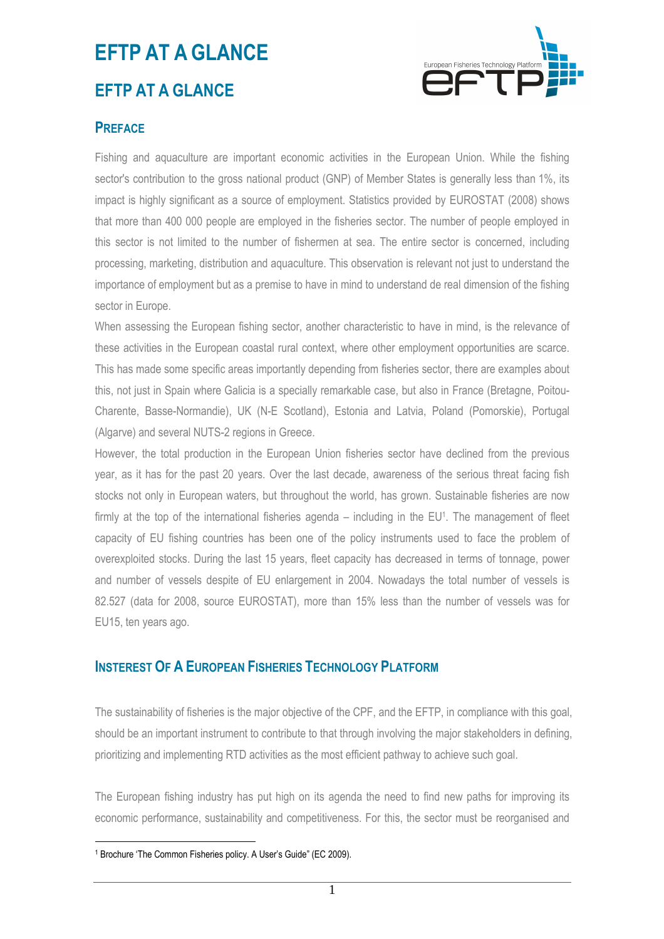# **EFTP AT A GLANCE**

### **EFTP AT A GLANCE**



### **PREFACE**

Fishing and aquaculture are important economic activities in the European Union. While the fishing sector's contribution to the gross national product (GNP) of Member States is generally less than 1%, its impact is highly significant as a source of employment. Statistics provided by EUROSTAT (2008) shows that more than 400 000 people are employed in the fisheries sector. The number of people employed in this sector is not limited to the number of fishermen at sea. The entire sector is concerned, including processing, marketing, distribution and aquaculture. This observation is relevant not just to understand the importance of employment but as a premise to have in mind to understand de real dimension of the fishing sector in Europe.

When assessing the European fishing sector, another characteristic to have in mind, is the relevance of these activities in the European coastal rural context, where other employment opportunities are scarce. This has made some specific areas importantly depending from fisheries sector, there are examples about this, not just in Spain where Galicia is a specially remarkable case, but also in France (Bretagne, Poitou-Charente, Basse-Normandie), UK (N-E Scotland), Estonia and Latvia, Poland (Pomorskie), Portugal (Algarve) and several NUTS-2 regions in Greece.

However, the total production in the European Union fisheries sector have declined from the previous year, as it has for the past 20 years. Over the last decade, awareness of the serious threat facing fish stocks not only in European waters, but throughout the world, has grown. Sustainable fisheries are now firmly at the top of the international fisheries agenda – including in the EU<sup>1</sup>. The management of fleet capacity of EU fishing countries has been one of the policy instruments used to face the problem of overexploited stocks. During the last 15 years, fleet capacity has decreased in terms of tonnage, power and number of vessels despite of EU enlargement in 2004. Nowadays the total number of vessels is 82.527 (data for 2008, source EUROSTAT), more than 15% less than the number of vessels was for EU15, ten years ago.

#### **INSTEREST OF A EUROPEAN FISHERIES TECHNOLOGY PLATFORM**

The sustainability of fisheries is the major objective of the CPF, and the EFTP, in compliance with this goal, should be an important instrument to contribute to that through involving the major stakeholders in defining, prioritizing and implementing RTD activities as the most efficient pathway to achieve such goal.

The European fishing industry has put high on its agenda the need to find new paths for improving its economic performance, sustainability and competitiveness. For this, the sector must be reorganised and

 $\overline{a}$ 1 Brochure 'The Common Fisheries policy. A User's Guide" (EC 2009).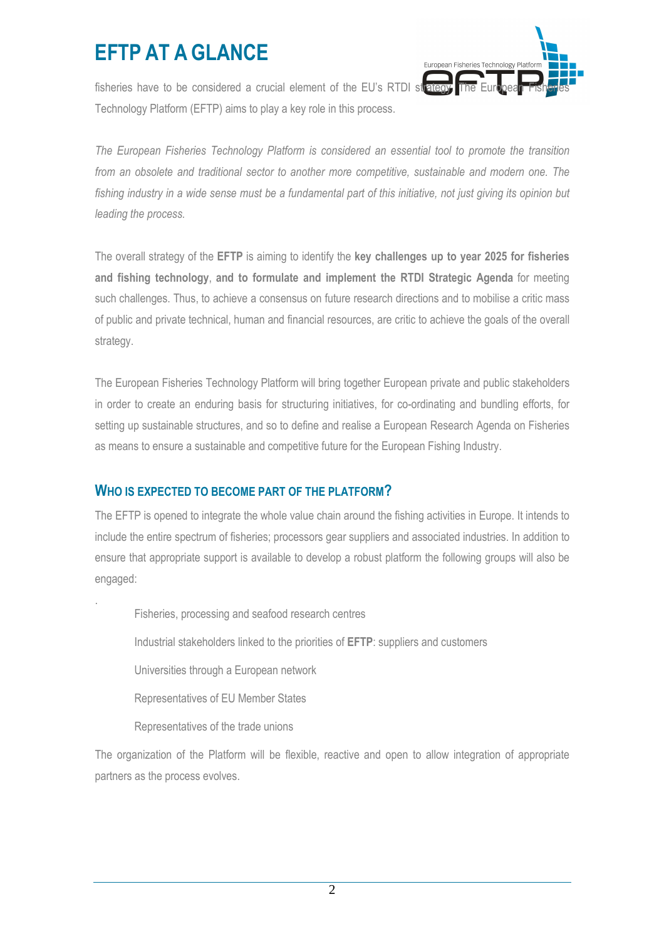## **EFTP AT A GLANCE**



fisheries have to be considered a crucial element of the EU's RTDI strategy. Technology Platform (EFTP) aims to play a key role in this process.

*The European Fisheries Technology Platform is considered an essential tool to promote the transition from an obsolete and traditional sector to another more competitive, sustainable and modern one. The*  fishing industry in a wide sense must be a fundamental part of this initiative, not just giving its opinion but *leading the process.* 

The overall strategy of the **EFTP** is aiming to identify the **key challenges up to year 2025 for fisheries and fishing technology**, **and to formulate and implement the RTDI Strategic Agenda** for meeting such challenges. Thus, to achieve a consensus on future research directions and to mobilise a critic mass of public and private technical, human and financial resources, are critic to achieve the goals of the overall strategy.

The European Fisheries Technology Platform will bring together European private and public stakeholders in order to create an enduring basis for structuring initiatives, for co-ordinating and bundling efforts, for setting up sustainable structures, and so to define and realise a European Research Agenda on Fisheries as means to ensure a sustainable and competitive future for the European Fishing Industry.

### **WHO IS EXPECTED TO BECOME PART OF THE PLATFORM?**

The EFTP is opened to integrate the whole value chain around the fishing activities in Europe. It intends to include the entire spectrum of fisheries; processors gear suppliers and associated industries. In addition to ensure that appropriate support is available to develop a robust platform the following groups will also be engaged:

Fisheries, processing and seafood research centres

Industrial stakeholders linked to the priorities of **EFTP**: suppliers and customers

Universities through a European network

Representatives of EU Member States

Representatives of the trade unions

.

The organization of the Platform will be flexible, reactive and open to allow integration of appropriate partners as the process evolves.